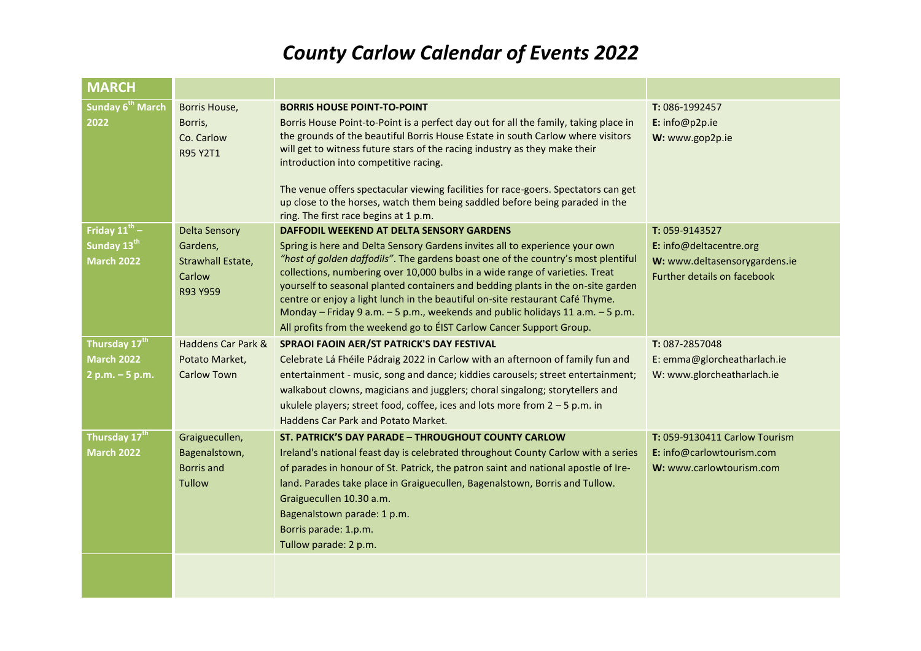## *County Carlow Calendar of Events 2022*

| <b>MARCH</b>                                                              |                                                                             |                                                                                                                                                                                                                                                                                                                                                                                                                                                                                                                                                                                                                              |                                                                                                           |
|---------------------------------------------------------------------------|-----------------------------------------------------------------------------|------------------------------------------------------------------------------------------------------------------------------------------------------------------------------------------------------------------------------------------------------------------------------------------------------------------------------------------------------------------------------------------------------------------------------------------------------------------------------------------------------------------------------------------------------------------------------------------------------------------------------|-----------------------------------------------------------------------------------------------------------|
| Sunday 6 <sup>th</sup> March<br>2022                                      | Borris House,<br>Borris,<br>Co. Carlow<br>R95 Y2T1                          | <b>BORRIS HOUSE POINT-TO-POINT</b><br>Borris House Point-to-Point is a perfect day out for all the family, taking place in<br>the grounds of the beautiful Borris House Estate in south Carlow where visitors<br>will get to witness future stars of the racing industry as they make their<br>introduction into competitive racing.<br>The venue offers spectacular viewing facilities for race-goers. Spectators can get<br>up close to the horses, watch them being saddled before being paraded in the<br>ring. The first race begins at 1 p.m.                                                                          | T: 086-1992457<br>E: info@p2p.ie<br>W: www.gop2p.ie                                                       |
| Friday $11^{\text{th}}$ -<br>Sunday 13 <sup>th</sup><br><b>March 2022</b> | <b>Delta Sensory</b><br>Gardens,<br>Strawhall Estate,<br>Carlow<br>R93 Y959 | DAFFODIL WEEKEND AT DELTA SENSORY GARDENS<br>Spring is here and Delta Sensory Gardens invites all to experience your own<br>"host of golden daffodils". The gardens boast one of the country's most plentiful<br>collections, numbering over 10,000 bulbs in a wide range of varieties. Treat<br>yourself to seasonal planted containers and bedding plants in the on-site garden<br>centre or enjoy a light lunch in the beautiful on-site restaurant Café Thyme.<br>Monday - Friday 9 a.m. - 5 p.m., weekends and public holidays 11 a.m. - 5 p.m.<br>All profits from the weekend go to EIST Carlow Cancer Support Group. | T: 059-9143527<br>E: info@deltacentre.org<br>W: www.deltasensorygardens.ie<br>Further details on facebook |
| Thursday 17 <sup>th</sup><br><b>March 2022</b><br>$2 p.m. - 5 p.m.$       | Haddens Car Park &<br>Potato Market,<br><b>Carlow Town</b>                  | SPRAOI FAOIN AER/ST PATRICK'S DAY FESTIVAL<br>Celebrate Lá Fhéile Pádraig 2022 in Carlow with an afternoon of family fun and<br>entertainment - music, song and dance; kiddies carousels; street entertainment;<br>walkabout clowns, magicians and jugglers; choral singalong; storytellers and<br>ukulele players; street food, coffee, ices and lots more from $2 - 5$ p.m. in<br>Haddens Car Park and Potato Market.                                                                                                                                                                                                      | T: 087-2857048<br>E: emma@glorcheatharlach.ie<br>W: www.glorcheatharlach.ie                               |
| Thursday 17 <sup>th</sup><br><b>March 2022</b>                            | Graiguecullen,<br>Bagenalstown,<br><b>Borris</b> and<br><b>Tullow</b>       | ST. PATRICK'S DAY PARADE - THROUGHOUT COUNTY CARLOW<br>Ireland's national feast day is celebrated throughout County Carlow with a series<br>of parades in honour of St. Patrick, the patron saint and national apostle of Ire-<br>land. Parades take place in Graiguecullen, Bagenalstown, Borris and Tullow.<br>Graiguecullen 10.30 a.m.<br>Bagenalstown parade: 1 p.m.<br>Borris parade: 1.p.m.<br>Tullow parade: 2 p.m.                                                                                                                                                                                                   | T: 059-9130411 Carlow Tourism<br>E: info@carlowtourism.com<br>W: www.carlowtourism.com                    |
|                                                                           |                                                                             |                                                                                                                                                                                                                                                                                                                                                                                                                                                                                                                                                                                                                              |                                                                                                           |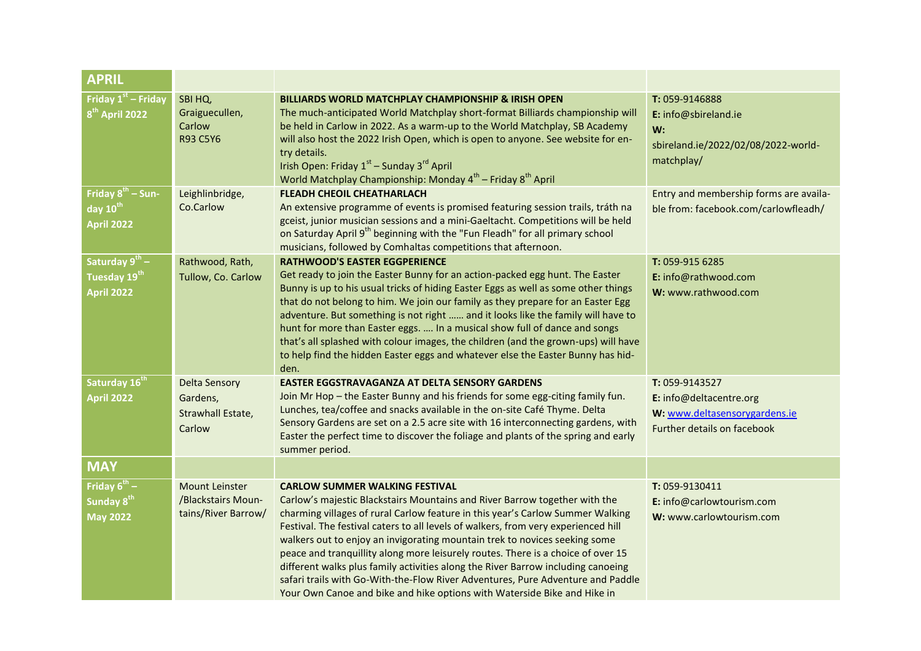| <b>APRIL</b>                                                         |                                                                    |                                                                                                                                                                                                                                                                                                                                                                                                                                                                                                                                                                                                                                                                                                                  |                                                                                                           |
|----------------------------------------------------------------------|--------------------------------------------------------------------|------------------------------------------------------------------------------------------------------------------------------------------------------------------------------------------------------------------------------------------------------------------------------------------------------------------------------------------------------------------------------------------------------------------------------------------------------------------------------------------------------------------------------------------------------------------------------------------------------------------------------------------------------------------------------------------------------------------|-----------------------------------------------------------------------------------------------------------|
| Friday $1st$ – Friday<br>8 <sup>th</sup> April 2022                  | SBI HQ,<br>Graiguecullen,<br>Carlow<br>R93 C5Y6                    | <b>BILLIARDS WORLD MATCHPLAY CHAMPIONSHIP &amp; IRISH OPEN</b><br>The much-anticipated World Matchplay short-format Billiards championship will<br>be held in Carlow in 2022. As a warm-up to the World Matchplay, SB Academy<br>will also host the 2022 Irish Open, which is open to anyone. See website for en-<br>try details.<br>Irish Open: Friday 1 <sup>st</sup> – Sunday 3 <sup>rd</sup> April<br>World Matchplay Championship: Monday 4 <sup>th</sup> – Friday 8 <sup>th</sup> April                                                                                                                                                                                                                    | T: 059-9146888<br>E: info@sbireland.ie<br>W:<br>sbireland.ie/2022/02/08/2022-world-<br>matchplay/         |
| Friday $8^{th}$ – Sun-<br>day 10 <sup>th</sup><br><b>April 2022</b>  | Leighlinbridge,<br>Co.Carlow                                       | <b>FLEADH CHEOIL CHEATHARLACH</b><br>An extensive programme of events is promised featuring session trails, tráth na<br>gceist, junior musician sessions and a mini-Gaeltacht. Competitions will be held<br>on Saturday April 9 <sup>th</sup> beginning with the "Fun Fleadh" for all primary school<br>musicians, followed by Comhaltas competitions that afternoon.                                                                                                                                                                                                                                                                                                                                            | Entry and membership forms are availa-<br>ble from: facebook.com/carlowfleadh/                            |
| Saturday $9^{th}$ –<br>Tuesday 19 <sup>th</sup><br><b>April 2022</b> | Rathwood, Rath,<br>Tullow, Co. Carlow                              | <b>RATHWOOD'S EASTER EGGPERIENCE</b><br>Get ready to join the Easter Bunny for an action-packed egg hunt. The Easter<br>Bunny is up to his usual tricks of hiding Easter Eggs as well as some other things<br>that do not belong to him. We join our family as they prepare for an Easter Egg<br>adventure. But something is not right  and it looks like the family will have to<br>hunt for more than Easter eggs.  In a musical show full of dance and songs<br>that's all splashed with colour images, the children (and the grown-ups) will have<br>to help find the hidden Easter eggs and whatever else the Easter Bunny has hid-<br>den.                                                                 | T: 059-915 6285<br>E: info@rathwood.com<br>W: www.rathwood.com                                            |
| Saturday 16th<br><b>April 2022</b>                                   | <b>Delta Sensory</b><br>Gardens,<br>Strawhall Estate,<br>Carlow    | <b>EASTER EGGSTRAVAGANZA AT DELTA SENSORY GARDENS</b><br>Join Mr Hop - the Easter Bunny and his friends for some egg-citing family fun.<br>Lunches, tea/coffee and snacks available in the on-site Café Thyme. Delta<br>Sensory Gardens are set on a 2.5 acre site with 16 interconnecting gardens, with<br>Easter the perfect time to discover the foliage and plants of the spring and early<br>summer period.                                                                                                                                                                                                                                                                                                 | T: 059-9143527<br>E: info@deltacentre.org<br>W: www.deltasensorygardens.ie<br>Further details on facebook |
| <b>MAY</b>                                                           |                                                                    |                                                                                                                                                                                                                                                                                                                                                                                                                                                                                                                                                                                                                                                                                                                  |                                                                                                           |
| Friday $6^{th}$ –<br>Sunday 8 <sup>th</sup><br><b>May 2022</b>       | <b>Mount Leinster</b><br>/Blackstairs Moun-<br>tains/River Barrow/ | <b>CARLOW SUMMER WALKING FESTIVAL</b><br>Carlow's majestic Blackstairs Mountains and River Barrow together with the<br>charming villages of rural Carlow feature in this year's Carlow Summer Walking<br>Festival. The festival caters to all levels of walkers, from very experienced hill<br>walkers out to enjoy an invigorating mountain trek to novices seeking some<br>peace and tranquillity along more leisurely routes. There is a choice of over 15<br>different walks plus family activities along the River Barrow including canoeing<br>safari trails with Go-With-the-Flow River Adventures, Pure Adventure and Paddle<br>Your Own Canoe and bike and hike options with Waterside Bike and Hike in | T: 059-9130411<br>E: info@carlowtourism.com<br>W: www.carlowtourism.com                                   |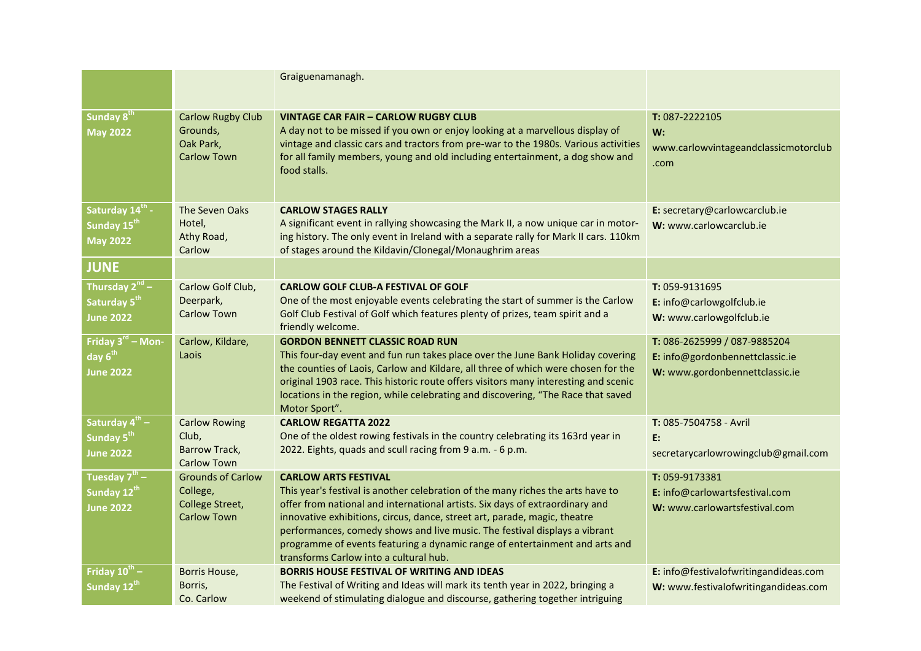|                                                                            |                                                                               | Graiguenamanagh.                                                                                                                                                                                                                                                                                                                                                                                                                                                                   |                                                                                                   |
|----------------------------------------------------------------------------|-------------------------------------------------------------------------------|------------------------------------------------------------------------------------------------------------------------------------------------------------------------------------------------------------------------------------------------------------------------------------------------------------------------------------------------------------------------------------------------------------------------------------------------------------------------------------|---------------------------------------------------------------------------------------------------|
| Sunday 8 <sup>th</sup><br><b>May 2022</b>                                  | <b>Carlow Rugby Club</b><br>Grounds,<br>Oak Park,<br><b>Carlow Town</b>       | <b>VINTAGE CAR FAIR - CARLOW RUGBY CLUB</b><br>A day not to be missed if you own or enjoy looking at a marvellous display of<br>vintage and classic cars and tractors from pre-war to the 1980s. Various activities<br>for all family members, young and old including entertainment, a dog show and<br>food stalls.                                                                                                                                                               | $T: 087 - 2222105$<br>W:<br>www.carlowvintageandclassicmotorclub<br>.com                          |
| Saturday 14 <sup>th</sup> -<br>Sunday 15 <sup>th</sup><br><b>May 2022</b>  | The Seven Oaks<br>Hotel,<br>Athy Road,<br>Carlow                              | <b>CARLOW STAGES RALLY</b><br>A significant event in rallying showcasing the Mark II, a now unique car in motor-<br>ing history. The only event in Ireland with a separate rally for Mark II cars. 110km<br>of stages around the Kildavin/Clonegal/Monaughrim areas                                                                                                                                                                                                                | E: secretary@carlowcarclub.ie<br>W: www.carlowcarclub.ie                                          |
| <b>JUNE</b>                                                                |                                                                               |                                                                                                                                                                                                                                                                                                                                                                                                                                                                                    |                                                                                                   |
| Thursday 2 <sup>nd</sup> -<br>Saturday 5 <sup>th</sup><br><b>June 2022</b> | Carlow Golf Club,<br>Deerpark,<br><b>Carlow Town</b>                          | <b>CARLOW GOLF CLUB-A FESTIVAL OF GOLF</b><br>One of the most enjoyable events celebrating the start of summer is the Carlow<br>Golf Club Festival of Golf which features plenty of prizes, team spirit and a<br>friendly welcome.                                                                                                                                                                                                                                                 | $T: 059-9131695$<br>E: info@carlowgolfclub.ie<br>W: www.carlowgolfclub.ie                         |
| Friday 3 <sup>rd</sup> – Mon-<br>day 6 <sup>th</sup><br><b>June 2022</b>   | Carlow, Kildare,<br>Laois                                                     | <b>GORDON BENNETT CLASSIC ROAD RUN</b><br>This four-day event and fun run takes place over the June Bank Holiday covering<br>the counties of Laois, Carlow and Kildare, all three of which were chosen for the<br>original 1903 race. This historic route offers visitors many interesting and scenic<br>locations in the region, while celebrating and discovering, "The Race that saved<br>Motor Sport".                                                                         | T: 086-2625999 / 087-9885204<br>E: info@gordonbennettclassic.ie<br>W: www.gordonbennettclassic.ie |
| Saturday 4 <sup>th</sup> –<br>Sunday 5 <sup>th</sup><br>June 2022          | <b>Carlow Rowing</b><br>Club,<br>Barrow Track,<br><b>Carlow Town</b>          | <b>CARLOW REGATTA 2022</b><br>One of the oldest rowing festivals in the country celebrating its 163rd year in<br>2022. Eights, quads and scull racing from 9 a.m. - 6 p.m.                                                                                                                                                                                                                                                                                                         | T: 085-7504758 - Avril<br>E:<br>secretarycarlowrowingclub@gmail.com                               |
| Tuesday 7 <sup>th</sup> –<br>Sunday 12 <sup>th</sup><br><b>June 2022</b>   | <b>Grounds of Carlow</b><br>College,<br>College Street,<br><b>Carlow Town</b> | <b>CARLOW ARTS FESTIVAL</b><br>This year's festival is another celebration of the many riches the arts have to<br>offer from national and international artists. Six days of extraordinary and<br>innovative exhibitions, circus, dance, street art, parade, magic, theatre<br>performances, comedy shows and live music. The festival displays a vibrant<br>programme of events featuring a dynamic range of entertainment and arts and<br>transforms Carlow into a cultural hub. | $T: 059 - 9173381$<br>E: info@carlowartsfestival.com<br>W: www.carlowartsfestival.com             |
| Friday $10^{th}$ –<br>Sunday 12 <sup>th</sup>                              | Borris House,<br>Borris,<br>Co. Carlow                                        | <b>BORRIS HOUSE FESTIVAL OF WRITING AND IDEAS</b><br>The Festival of Writing and Ideas will mark its tenth year in 2022, bringing a<br>weekend of stimulating dialogue and discourse, gathering together intriguing                                                                                                                                                                                                                                                                | E: info@festivalofwritingandideas.com<br>W: www.festivalofwritingandideas.com                     |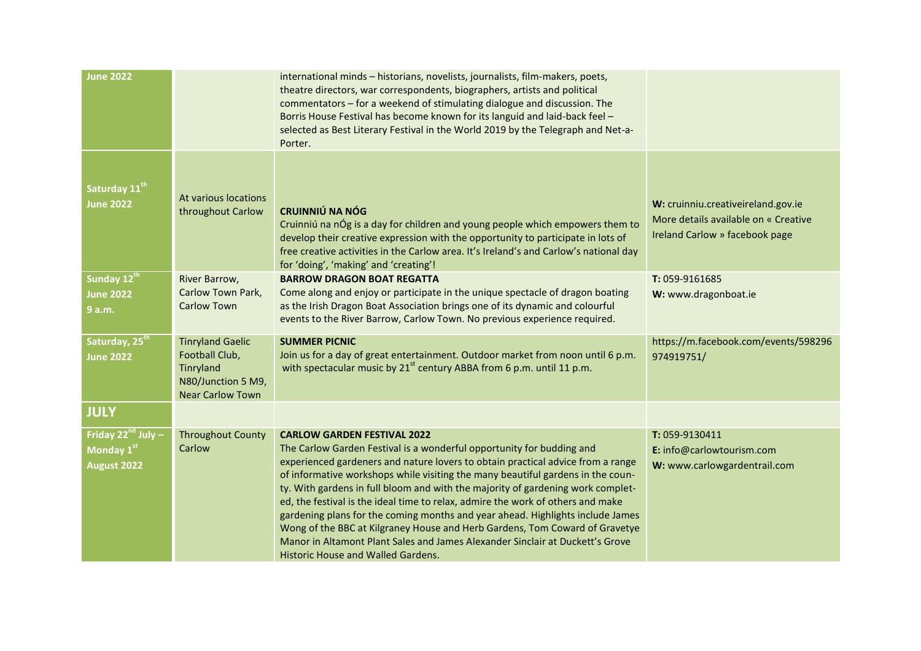| <b>June 2022</b>                                            |                                                                                                         | international minds - historians, novelists, journalists, film-makers, poets,<br>theatre directors, war correspondents, biographers, artists and political<br>commentators - for a weekend of stimulating dialogue and discussion. The<br>Borris House Festival has become known for its languid and laid-back feel -<br>selected as Best Literary Festival in the World 2019 by the Telegraph and Net-a-<br>Porter.                                                                                                                                                                                                                                                                                                                                   |                                                                                                              |
|-------------------------------------------------------------|---------------------------------------------------------------------------------------------------------|--------------------------------------------------------------------------------------------------------------------------------------------------------------------------------------------------------------------------------------------------------------------------------------------------------------------------------------------------------------------------------------------------------------------------------------------------------------------------------------------------------------------------------------------------------------------------------------------------------------------------------------------------------------------------------------------------------------------------------------------------------|--------------------------------------------------------------------------------------------------------------|
| Saturday 11 <sup>th</sup><br><b>June 2022</b>               | At various locations<br>throughout Carlow                                                               | <b>CRUINNIÚ NA NÓG</b><br>Cruinniú na nÓg is a day for children and young people which empowers them to<br>develop their creative expression with the opportunity to participate in lots of<br>free creative activities in the Carlow area. It's Ireland's and Carlow's national day<br>for 'doing', 'making' and 'creating'!                                                                                                                                                                                                                                                                                                                                                                                                                          | W: cruinniu.creativeireland.gov.ie<br>More details available on « Creative<br>Ireland Carlow » facebook page |
| Sunday 12th<br><b>June 2022</b><br>9 a.m.                   | River Barrow,<br>Carlow Town Park,<br><b>Carlow Town</b>                                                | <b>BARROW DRAGON BOAT REGATTA</b><br>Come along and enjoy or participate in the unique spectacle of dragon boating<br>as the Irish Dragon Boat Association brings one of its dynamic and colourful<br>events to the River Barrow, Carlow Town. No previous experience required.                                                                                                                                                                                                                                                                                                                                                                                                                                                                        | T: 059-9161685<br>W: www.dragonboat.ie                                                                       |
| Saturday, 25 <sup>th</sup><br><b>June 2022</b>              | <b>Tinryland Gaelic</b><br>Football Club,<br>Tinryland<br>N80/Junction 5 M9,<br><b>Near Carlow Town</b> | <b>SUMMER PICNIC</b><br>Join us for a day of great entertainment. Outdoor market from noon until 6 p.m.<br>with spectacular music by 21 <sup>st</sup> century ABBA from 6 p.m. until 11 p.m.                                                                                                                                                                                                                                                                                                                                                                                                                                                                                                                                                           | https://m.facebook.com/events/598296<br>974919751/                                                           |
| <b>JULY</b>                                                 |                                                                                                         |                                                                                                                                                                                                                                                                                                                                                                                                                                                                                                                                                                                                                                                                                                                                                        |                                                                                                              |
| Friday 22 <sup>nd</sup> July -<br>Monday 1st<br>August 2022 | <b>Throughout County</b><br>Carlow                                                                      | <b>CARLOW GARDEN FESTIVAL 2022</b><br>The Carlow Garden Festival is a wonderful opportunity for budding and<br>experienced gardeners and nature lovers to obtain practical advice from a range<br>of informative workshops while visiting the many beautiful gardens in the coun-<br>ty. With gardens in full bloom and with the majority of gardening work complet-<br>ed, the festival is the ideal time to relax, admire the work of others and make<br>gardening plans for the coming months and year ahead. Highlights include James<br>Wong of the BBC at Kilgraney House and Herb Gardens, Tom Coward of Gravetye<br>Manor in Altamont Plant Sales and James Alexander Sinclair at Duckett's Grove<br><b>Historic House and Walled Gardens.</b> | T: 059-9130411<br>E: info@carlowtourism.com<br>W: www.carlowgardentrail.com                                  |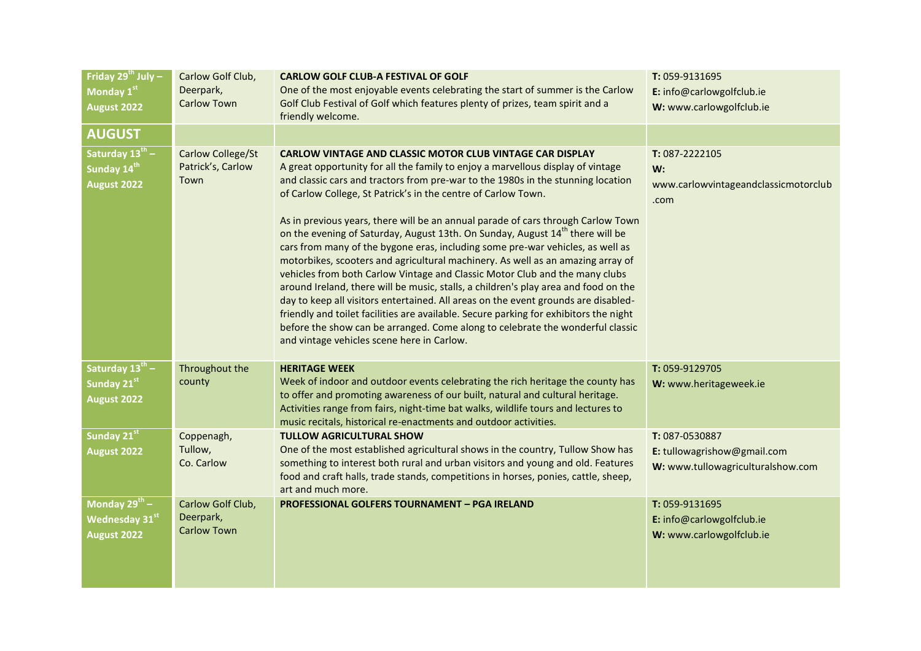| Friday $29^{th}$ July -<br>Monday 1st<br>August 2022           | Carlow Golf Club,<br>Deerpark,<br><b>Carlow Town</b> | <b>CARLOW GOLF CLUB-A FESTIVAL OF GOLF</b><br>One of the most enjoyable events celebrating the start of summer is the Carlow<br>Golf Club Festival of Golf which features plenty of prizes, team spirit and a<br>friendly welcome.                                                                                                                                                                                                                                                                                                                                                                                                                                                                                                                                                                                                                                                                                                                                                                                                                                                                                                           | T: 059-9131695<br>E: info@carlowgolfclub.ie<br>W: www.carlowgolfclub.ie            |
|----------------------------------------------------------------|------------------------------------------------------|----------------------------------------------------------------------------------------------------------------------------------------------------------------------------------------------------------------------------------------------------------------------------------------------------------------------------------------------------------------------------------------------------------------------------------------------------------------------------------------------------------------------------------------------------------------------------------------------------------------------------------------------------------------------------------------------------------------------------------------------------------------------------------------------------------------------------------------------------------------------------------------------------------------------------------------------------------------------------------------------------------------------------------------------------------------------------------------------------------------------------------------------|------------------------------------------------------------------------------------|
| <b>AUGUST</b>                                                  |                                                      |                                                                                                                                                                                                                                                                                                                                                                                                                                                                                                                                                                                                                                                                                                                                                                                                                                                                                                                                                                                                                                                                                                                                              |                                                                                    |
| Saturday $13^{th}$ –<br>Sunday 14 <sup>th</sup><br>August 2022 | Carlow College/St<br>Patrick's, Carlow<br>Town       | CARLOW VINTAGE AND CLASSIC MOTOR CLUB VINTAGE CAR DISPLAY<br>A great opportunity for all the family to enjoy a marvellous display of vintage<br>and classic cars and tractors from pre-war to the 1980s in the stunning location<br>of Carlow College, St Patrick's in the centre of Carlow Town.<br>As in previous years, there will be an annual parade of cars through Carlow Town<br>on the evening of Saturday, August 13th. On Sunday, August 14 <sup>th</sup> there will be<br>cars from many of the bygone eras, including some pre-war vehicles, as well as<br>motorbikes, scooters and agricultural machinery. As well as an amazing array of<br>vehicles from both Carlow Vintage and Classic Motor Club and the many clubs<br>around Ireland, there will be music, stalls, a children's play area and food on the<br>day to keep all visitors entertained. All areas on the event grounds are disabled-<br>friendly and toilet facilities are available. Secure parking for exhibitors the night<br>before the show can be arranged. Come along to celebrate the wonderful classic<br>and vintage vehicles scene here in Carlow. | T: 087-2222105<br>W:<br>www.carlowvintageandclassicmotorclub<br>.com               |
| Saturday 13th -<br>Sunday 21st<br>August 2022                  | Throughout the<br>county                             | <b>HERITAGE WEEK</b><br>Week of indoor and outdoor events celebrating the rich heritage the county has<br>to offer and promoting awareness of our built, natural and cultural heritage.<br>Activities range from fairs, night-time bat walks, wildlife tours and lectures to<br>music recitals, historical re-enactments and outdoor activities.                                                                                                                                                                                                                                                                                                                                                                                                                                                                                                                                                                                                                                                                                                                                                                                             | T: 059-9129705<br>W: www.heritageweek.ie                                           |
| Sunday 21st<br>August 2022                                     | Coppenagh,<br>Tullow,<br>Co. Carlow                  | <b>TULLOW AGRICULTURAL SHOW</b><br>One of the most established agricultural shows in the country, Tullow Show has<br>something to interest both rural and urban visitors and young and old. Features<br>food and craft halls, trade stands, competitions in horses, ponies, cattle, sheep,<br>art and much more.                                                                                                                                                                                                                                                                                                                                                                                                                                                                                                                                                                                                                                                                                                                                                                                                                             | T: 087-0530887<br>E: tullowagrishow@gmail.com<br>W: www.tullowagriculturalshow.com |
| Monday $29^{th}$ –<br><b>Wednesday 31st</b><br>August 2022     | Carlow Golf Club,<br>Deerpark,<br><b>Carlow Town</b> | <b>PROFESSIONAL GOLFERS TOURNAMENT - PGA IRELAND</b>                                                                                                                                                                                                                                                                                                                                                                                                                                                                                                                                                                                                                                                                                                                                                                                                                                                                                                                                                                                                                                                                                         | T: 059-9131695<br>E: info@carlowgolfclub.ie<br>W: www.carlowgolfclub.ie            |